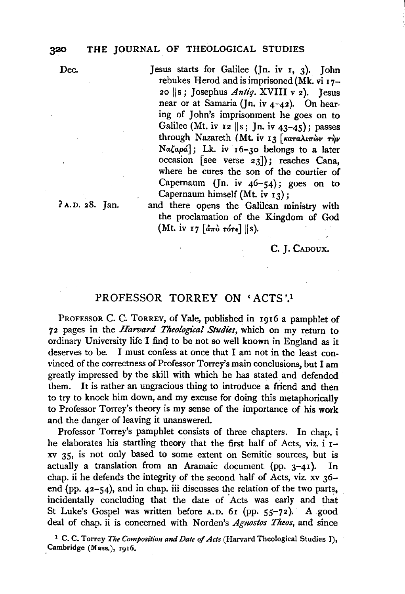Dec.

Jesus starts for Galilee (Jn. iv I, 3). John rebukes Herod and is imprisoned (Mk. vi  $17-$ 20 JJs; Josephus *Antiq.* XVIII v 2). Jesus near or at Samaria (Jn. iv 4-42). On hearing of John's imprisonment he goes on to Galilee (Mt. iv  $12$  ||s; Jn. iv  $43-45$ ); passes through Nazareth (Mt. iv 13 [ $\kappa a\tau a\lambda i\pi\omega\nu$  rm  $Na\zeta a\rho\acute{a}$ ]; Lk. iv 16-30 belongs to a later occasion [see verse 23]); reaches Cana, where he cures the son of the courtier of Capernaum (Jn. iv  $46-54$ ); goes on to Capernaum himself (Mt. iv  $13$ );

? A. D. 28. Jan.

and there opens the Galilean ministry with the proclamation of the Kingdom of God (Mt. iv 17  $\lceil d\pi\delta \tau \sigma \tau \epsilon \rceil$  ||s).

c. J. CADOUX.

## PROFESSOR TORREY ON 'ACTS'!

PROFESSOR C. C. TORREY, of Yale, published in 1916 a pamphlet of 72 pages in the *Harvard Theological Studies*, which on my return to ordinary University life I find to be not so well known in England as it deserves to be. I must confess at once that I am not in the least convinced of the correctness of Professor Torrey's main conclusions, but I am greatly impressed by the skill with which he has stated\_ and defended them. It is rather an ungracious thing to introduce a friend and then to try to knock him down, and my excuse for doing this metaphorically to Professor Torrey's theory is my sense of the importance of his work and the danger of leaving it unanswered.

Professor Torrey's pamphlet consists of three chapters. In chap. i he elaborates his startling theory that the first half of Acts, viz. i Ixv 35, is not only based to some extent on Semitic sources, but is actually a translation from an Aramaic document (pp.  $3-41$ ). In chap. ii he defends the integrity of the second half of Acts, viz. xv 36 end (pp.  $42-54$ ), and in chap. iii discusses the relation of the two parts, incidentally concluding that the date of Acts was early and that St Luke's Gospel was written before A.D. 61 (pp. 55-72). A good deal of chap. ii is concerned with Norden's *Agnostos Theos,* and since

<sup>1</sup> C. C. Torrey *The Composition and Date of Acts* (Harvard Theological Studies I), .Cambridge (Mass.), r916.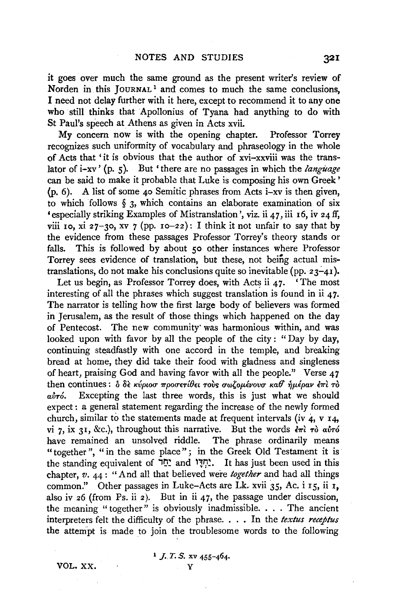it goes over much the same ground as the present writer's review of Norden in this JOURNAL<sup>1</sup> and comes to much the same conclusions, I need not delay further with it here, except to recommend it to any one who still thinks that Apollonius of Tyana had anything to do with St Paul's speech at Athens as given in Acts xvii.

My concern now is with the opening chapter. Professor Torrey recognizes such uniformity of vocabulary and phraseology in the whole of Acts that ' it is obvious that the author of xvi-xxviii was the translator of i-xv' (p. s). But 'there are no passages in which the *language*  can be said to make it probable that Luke is composing his own Greek' (p. 6). A list of some 40 Semitic phrases from Acts i-xv is then given, to which follows *§* 3, which contains an elaborate examination of six 'especially striking Examples of Mistranslation', viz. ii 47, iii 16, iv 24 ff, viii 10, xi 27-30, xv 7 (pp. 10-22): I think it not unfair to say that by the evidence from these passages Professor Torrey's theory stands or falls. This is followed by about *so* other instances where Professor Torrey sees evidence of translation, but these, not being actual mistranslations, do not make his conclusions quite so inevitable (pp.  $23-41$ ).

Let us begin, as Professor Torrey does, with Acts ii  $47.$  'The most interesting of all the phrases which suggest translation is found in ii  $47$ . The narrator is telling how the first large body of believers was formed in Jerusalem, as the result of those things which happened on the day of Pentecost. The new community· was harmonious within, and was looked upon with favor by all the people of the city : "Day by day, continuing steadfastly with one accord in the temple, and breaking bread at home, they did take their food with gladness and singleness of heart, praising God and having favor with all the people." Verse 47 then continues: δ δε κύριοσ προσετίθει τους σωζομένουσ καθ ήμέραν επι το av<sub>ró</sub>. Excepting the last three words, this is just what we should expect : a general statement regarding the increase of the newly formed church, similar to the statements made at frequent intervals (iv 4, v 14, vi 7, ix 31, &c.), throughout this narrative. But the words  $\epsilon \pi i$   $\tau \delta$  avoid have remained an unsolved riddle. The phrase ordinarily means "together", "in the same place"; in the Greek Old Testament it is the standing equivalent of  $\mathbb{I}$  $\mathbb{I}^*$  and ' $\mathbb{I}^*$ . It has just been used in this chapter, *v.* 44: "And all that believed were *together* and had all things common." Other passages in Luke-Acts are Lk. xvii 35, Ac. i  $15$ , ii  $1$ , also iv 26 (from Ps. ii 2). But in ii 47, the passage under discussion, the meaning " together" is obviously inadmissible. . . . The ancient interpreters felt the difficulty of the phrase. . . . In the *textus receptus*  the attempt is made to join the troublesome words to the following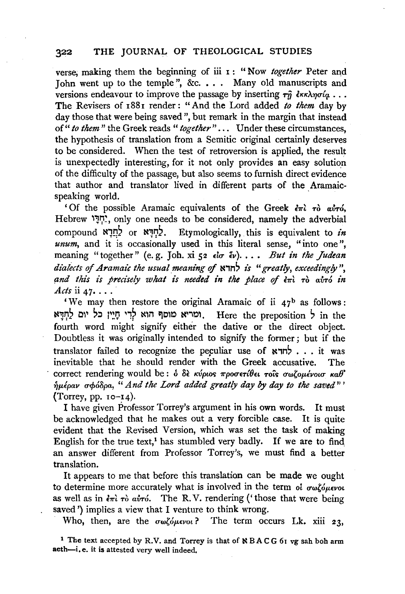## 322 THE JOURNAL OF THEOLOGICAL STUDIES

verse; making them the beginning of iii 1: "Now *together* Peter and John went up to the temple", &c. . . . Many old manuscripts and versions endeavour to improve the passage by inserting  $\tau \hat{\eta}$   $\epsilon \kappa \lambda \eta \sigma \hat{\iota} a$ ... The Revisers of 188r render: "And the Lord added *to them* day by day those that were being saved", but remark in the margin that instead of" *to them* " the Greek reads " *together"* . . . Under these circumstances, the hypothesis of translation from a Semitic original certainly deserves to be considered. When the test of retroversion is applied, the result is unexpectedly interesting, for it not only provides an easy solution of the difficulty of the passage, but also seems to furnish direct evidence that author and translator lived in different parts of the Aramaicspeaking world.

' Of the possible Aramaic equivalents of the Greek  $\epsilon \pi i$   $\tau \delta$   $\alpha \nu \tau \delta$ , Hebrew "חָדָי. only one needs to be considered, namely the adverbial compound N1!:)? or N1~?. Etymologically, this is equivalent to *in*  unum, and it is occasionally used in this literal sense, "into one", meaning "together" (e.g. Joh. xi 52 *do <sup>2</sup>v*). . . . *But in the Judean dialects of Aramaic the usual meaning of*  $\star$ <sup>2</sup> *zereatly, exceedingly",* and this is precisely what is needed in the place of  $\epsilon \pi i$   $\tau \delta$  avro in *Acts* ii 47• ... ·

'We may then restore the original Aramaic of ii  $47<sup>b</sup>$  as follows: NHT לְרֵי חֲיֵין כֹּל יוֹם לְחִדָּא . Here the preposition ? in the fourth word might signify either the dative or the direct object. Doubtless it was originally intended to signify the former; but if the translator failed to recognize the peculiar use of  $\kappa$ <sub>n</sub>, it was inevitable that he should render with the Greek accusative. The correct rendering would be:  $\delta$   $\delta \epsilon$  *K* $\psi$ *pios*  $\pi$ *pooteribel rois owlonevolo Kab*<sup>'</sup>  $\hat{\eta}$ μέραν σφόδρα, "And the Lord added greatly day by day to the saved"<sup>'</sup> (Torrey, pp.  $10 - 14$ ).

I have given Professor Torrey's argument in his own words. It must be acknowledged that he makes out a very forcible case. It is quite evident that the Revised Version, which was set the task of making English for the true text,<sup>1</sup> has stumbled very badly. If we are to find an answer different from Professor Torrey's, we must find a better translation.

It appears to me that before this translation can be made we ought to determine more accurately what is involved in the term of  $\sigma\omega\zeta_0\omega\epsilon_0\nu_0$ as well as in  $\epsilon \pi i \tau \delta$  *airó.* The R.V. rendering ('those that were being saved ') implies a view that I venture to think wrong.

Who, then, are the  $\sigma\omega\zeta\omega\mu\epsilon\nu\omega$ ? The term occurs Lk. xiii 23,

<sup>1</sup> The text accepted by R.V. and Torrey is that of NBACG 61 vg sah boh arm aeth-i.e. it is attested very well indeed.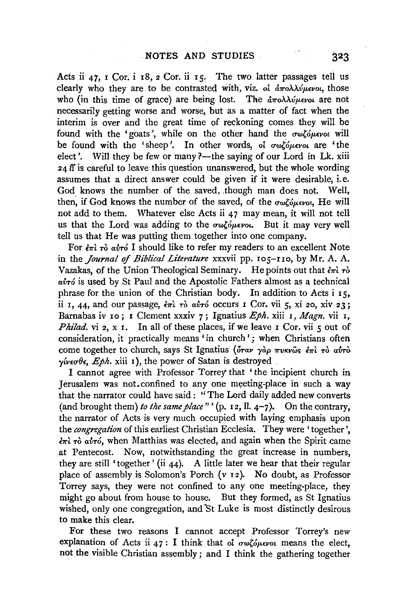Acts ii 47, I Cor. i 18, 2 Cor. ii 15. The two latter passages tell us clearly who they are to be contrasted with, viz. of  $\frac{\partial \pi}{\partial \lambda} \lambda \psi_{\mu} \epsilon \nu o_l$ , those who (in this time of grace) are being lost. The  $d\pi o \lambda \lambda \psi \mu \epsilon \nu o \iota$  are not necessarily getting worse and worse, but as a matter of fact when the interim is over and the great time of reckoning comes they will be found with the 'goats', while on the other hand the  $\sigma\omega\zeta\omega\omega\omega$  will be found with the 'sheep'. In other words, of  $\sigma\omega\zeta\omega\epsilon\nu\omega\zeta$  are 'the elect'. Will they be few or many ?—the saying of our Lord in Lk, xiii 24 ff is careful to leave this question unanswered, but the whole wording assumes that a direct answer could be given if it were desirable, i.e. God knows the number of the saved, though man does not. Well, then, if God knows the number of the saved, of the  $\sigma\omega\zeta\omega\omega\omega\omega$ , He will not add to them. Whatever else Acts ii 47 may mean, it will not tell us that the Lord was adding to the  $\sigma\omega\zeta\omega\omega\omega$ . But it may very well tell us that He was putting them together into one company.

For  $\epsilon \pi i$   $\tau$ ò av $\tau$ <sup>6</sup> I should like to refer my readers to an excellent Note in the *Journal of Biblical Literature* xxxvii pp. 105-110, by Mr. A. A. Vazakas, of the Union Theological Seminary. He points out that  $\epsilon \pi i \tau \delta$ avró is used by St Paul and the Apostolic Fathers almost as a technical phrase for the union of the Christian body. In addition to Acts i IS, ii 1, 44, and our passage,  $\epsilon \pi i$   $\tau \delta$  *air*  $\delta$  occurs I Cor. vii 5, xi 20, xiv 23; Barnabas iv 10; I Clement xxxiv 7; Ignatius  $Eph$ , xiii 1, Magn, vii 1, *Philad.* vi 2, x 1. In all of these places, if we leave 1 Cor. vii 5 out of consideration, it practically means 'in church'; when Christians often come together to church, says St Ignatius ( $\delta \tau \alpha \nu$   $\gamma \alpha \rho$   $\pi \nu \kappa \nu \omega s$   $\epsilon \pi \nu \tau \delta \alpha \nu \tau \delta$  $\gamma$ *iv* $\epsilon \sigma \theta \epsilon$ , *Eph.* xiii 1), the power of Satan is destroyed

I cannot agree with Professor Torrey' that 'the incipient church in Jerusalem was not.confined to any one meeting-place in such a way that the narrator could have said: "The Lord daily added new converts (and brought them) *to the same place*"' (p. 12, ll.  $4-7$ ). On the contrary, the narrator of Acts is very much occupied with laying emphasis upon the *congregation* of this earliest Christian Ecclesia. They were 'together'.  $\epsilon \pi i$   $\tau \delta$  av $\tau \delta$ , when Matthias was elected, and again when the Spirit came at Pentecost. Now, notwithstanding the great increase in numbers, they are still 'together' (ii 44). A little later we hear that their regular place of assembly is Solomon's Porch (v 12). No doubt, as Professor Torrey says, they were not confined to any one meeting-place, they might go about from house to house. But they formed, as St Ignatius wished, only one congregation, and 'St Luke is most distinctly desirous to make this clear.

For these two reasons I cannot accept Professor Torrey's new explanation of Acts ii 47 : I think that oi  $\sigma \omega_0^2 \delta \mu \epsilon \nu \omega_0$  means the elect, not the visible Christian assembly; and I think the gathering together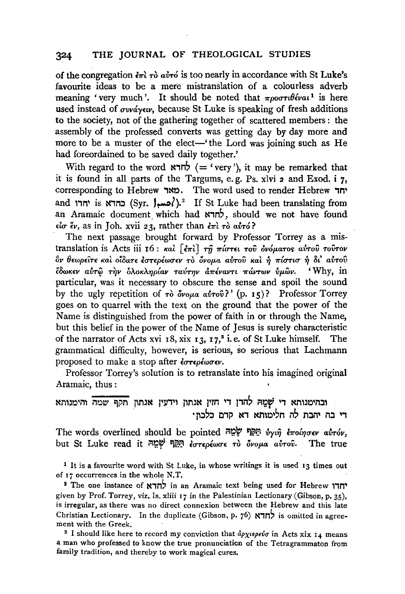of the congregation  $\epsilon \pi i$   $\tau \delta$  airs is too nearly in accordance with St Luke's favourite ideas to be a mere mistranslation of a colourless adverb meaning 'very much'. It should be noted that  $\pi \rho \sigma \tau \theta \epsilon \nu a \iota^1$  is here used instead of  $\sigma v \nu \alpha y \epsilon \nu$ , because St Luke is speaking of fresh additions to the society, not of the gathering together of scattered members : the assembly of the professed converts was getting day by day more and more to be a muster of the elect-' the Lord was joining such as He had foreordained to be saved daily together.'

With regard to the word  $\star$ רא ( = 'very '), it may be remarked that it is found in all parts of the Targums, e. g. Ps. xlvi 2 and Exod. i 7, corresponding to Hebrew . מאד .. The word used to render Hebrew יחד and יחדו is <br/>ההדא (Syr. ),<sup>2</sup> If St Luke had been translating from an Aramaic document which had לחדא, should we not have found  $\epsilon \iota \sigma \epsilon \nu$ , as in Joh. xvii 23, rather than  $\epsilon \pi i \tau \delta \alpha \nu \tau \delta$ ?

The next passage brought forward by Professor Torrey as a mistranslation is Acts iii 16 : *και* [επι] τη πίστει του ονόματος αυτου τουτον  $\partial$ ν θεωρεῖτε καὶ οἶδατε ἐστερέωσεν τὸ ὄνομα αὐτοῦ καὶ ή πίστισ ή δι' αὐτοῦ *£8wK£V at.Tc(i Ti]v lJA.oKA:YJp{av TaVrYJV a11"£vavn 11"&.VTwV flp.wv.* 'Why, in particular, was it necessary to obscure the sense and spoil the sound by the ugly repetition of *τ*ό *όνομα αυτού?'* (p. 15)? Professor Torrey goes on to quarrel with the text on the ground that the power of the Name is distinguished from the power of faith in or through the Name, but this belief in the power of the Name of Jesus is surely characteristic of the narrator of Acts xvi 18, xix 13, 17,<sup>8</sup> i.e. of St Luke himself. The grammatical difficulty, however, is serious, so serious that Lachmann proposed to make a stop after *εστερέωσεν*.

Professor Torrey's solution is to retranslate into his imagined original Aramaic, thus :

ובהימנותא די שָׁמֵה להדן די חזין אנתון וידעין אנתון תקף שמה והימנותא די בה יהבת לה חלימותא דא קדם כלכוז<sup>.</sup>

The words overlined should be pointed *יָלְמֶ* לַאֲמָה *לֹאֲמָה לּחֵמָה (<i>rotnoev airov*, but St Luke read it <sup>on γ</sup>Ω *εστερέωσε το όνομα αύτου*. The true

1 It is a favourite word with St Luke, in whose writings it is used 13 times out of 17 occurrences in the whole N.T.

2 The one instance of לחדא in an Aramaic text being used for Hebrew יחדו given by Prof. Torrey, viz. Is. xliii 17 in the Palestinian Lectionary (Gibson, p. 35), is irregular, as there was no direct connexion between the Hebrew and this late Christian Lectionary. In the duplicate (Gibson, p.  $76$ )  $\overline{N}$  is omitted in agreement with the Greek.

<sup>3</sup> I should like here to record my conviction that  $\partial \rho \chi_i \rho_j \rho_i \phi \sigma$  in Acts xix 14 means a man who professed to know the true pronunciation of the Tetragrammaton from family tradition, and thereby to work magical cures.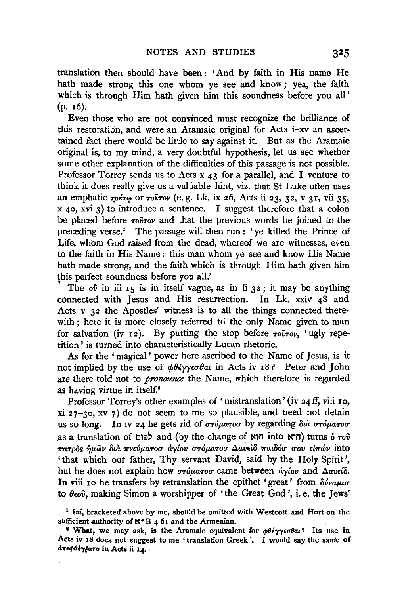translation then should have been: 'And by faith in His name He hath made strong this one whom ye see and know ; yea, the faith which is through Him hath given him this soundness before you all' (p. 16).

Even those who are not convinced must recognize the brilliance of this restoration, and were an Aramaic original for Acts i-xv an ascertained fact there would be little to say against it. But as the Aramaic original is, to my mind, a very doubtful hypothesis, let us see whether. some other explanation of the difficulties of this passage is not possible. Professor Torrey sends us to Acts  $x_4$  for a parallel, and I venture to think it does really give us a valuable hint, viz. that St Luke often uses an emphatic  $\tau_0$ *i* $\tau_0$  or  $\tau_0$ *i* $\tau_0$ *v* (e.g. Lk. ix 26, Acts ii 23, 32, v 31, vii 35,  $x$  40,  $xvi$  3) to introduce a sentence. I suggest therefore that a colon be placed before *Towov* and that the previous words be joined to the preceding verse.<sup>1</sup> The passage will then run : 've killed the Prince of Life, whom God raised from the dead, whereof we are witnesses, even to the faith in His Name: this man whom ye see and know His Name hath made strong, and the faith which is through Him hath given him this perfect soundness before you all.'

The  $\sigma$ <sup>t</sup> in iii  $\sigma$  is in itself vague, as in ii  $\sigma$  is it may be anything connected with Jesus and His resurrection. In Lk. xxiv 48 and Acts v 32 the Apostles' witness is to all the things connected therewith; here it is more closely referred to the only Name given to man for salvation (iv  $12$ ). By putting the stop before  $\tau$ o $\hat{v}$  $\tau$ ov, 'ugly repetition ' is turned into characteristically Lucan rhetoric.

As for the 'magical' power here ascribed to the Name of Jesus, is it not implied by the use of  $\phi \theta \acute{\epsilon} \gamma \gamma \epsilon \sigma \theta \alpha \bf{i}$  in Acts iv 18? Peter and John are there told not to *pronounce* the Name, which therefore is regarded as having virtue in itself.2

Professor Torrey's other examples of 'mistranslation' (iv 24 ff, viii 10,  $xi\$  27-30, xv 7) do not seem to me so plausible, and need not detain us so long. In iv 24 he gets rid of στόματοσ by regarding διά στόματοσ as a translation of **Lile change of Nlu** into  $\mathbf{N}$ <sup>1</sup> into  $\mathbf{N}$ <sup>1</sup>) turns 6  $\tau$ ov  $\pi$ ατρός ήμων διά πνεύματοσ άγίου στόματοσ Δαυείδ παιδόσ σου είπών into 'that which our father, Thy servant David, said by the Holy Spirit', but he does not explain how *στόματοσ* came between *άγίου* and Δανείδ. In viii 10 he transfers by retranslation the epithet 'great' from  $\delta \nu \nu \alpha \mu \nu \sigma$ to *8£ov,* making Simon a worshipper of 'the Great God', i.e. the Jews'

<sup>&</sup>lt;sup>1</sup>  $\epsilon \pi i$ , bracketed above by me, should be omitted with Westcott and Hort on the

sufficient authority of N<sup>\*</sup> B 4 61 and the Armenian.<br><sup>2</sup> What, we may ask, is the Aramaic equivalent for *φθέγγεσθαι*? Its use in Acts iv 18 does not suggest to me 'translation Greek'. I would say the same of dπεφθέγ<sub>ε</sub>ατο in Acts ii 14.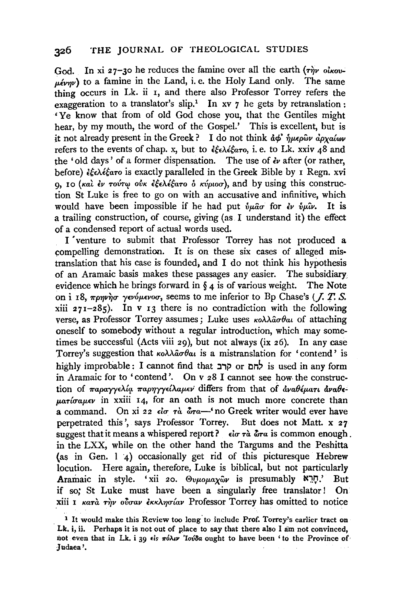God. In xi 27-30 he reduces the famine over all the earth ( $\tau \hat{m}v$  *olkov*- $\mu$ <sub>e</sub> $\mu$ <sub>*v* $\pi$ </sub>) to a famine in the Land, i.e. the Holy Land only. The same thing occurs in Lk. ii I, and there also Professor Torrey refers the exaggeration to a translator's slip.<sup>1</sup> In xv  $7$  he gets by retranslation : 'Ye know that from of old God chose you, that the Gentiles might hear, by my mouth, the word of the Gospel.' This is excellent, but is it not already present in the Greek? I do not think *αφ' ήμερων αρχαίων* refers to the events of chap. x, but to *ξελέξατο*, *i.e.* to Lk. xxiv 48 and the 'old days' of a former dispensation. The use of *lv* after (or rather, before) *£f£A£faTo* is exactly paralleled in the Greek Bible by I Regn. xvi 0, 10 (και έν τούτω ούκ εξελέξατο δ κύριοσ), and by using this construction St Luke is free to go on with an accusative and infinitive, which would have been impossible if he had put  $\hat{v} \mu \hat{a} \sigma$  for  $\hat{\epsilon} \nu$   $\hat{v} \mu \hat{u} \nu$ . It is a trailing construction, of course, giving (as I understand it) the effect of a condensed report of actual words used.

I 'venture to submit that Professor Torrey has not produced a compelling demonstration. It is on these six cases of alleged mis· translation that his case is founded; and I do not think his hypothesis of an Aramaic basis makes these passages any easier. The subsidiary evidence which he brings forward in  $\S_4$  is of various weight. The Note on i 18, πρηνήσ γενόμενοσ, seems to me inferior to Bp Chase's (*J. T. S.*  $xiii$  271-285). In v 13 there is no contradiction with the following verse, as Professor Torrey assumes; Luke uses  $\kappa o \lambda \lambda \hat{a} \sigma \theta a \nu$  of attaching oneself to somebody without a regular introduction, which may sometimes be successful (Acts viii 29), but not always (ix 26). In any case Torrey's suggestion that *κολλασθαι* is a mistranslation for 'contend' is highly improbable: I cannot find that קרב or lis used in any form in Aramaic for to 'contend'. On v 28 I cannot see how. the construction of παραγγελία παρηγγείλαμεν differs from that of *αναθέματι αναθεparíoausv* in xxiii 14, for an oath is not much more concrete than a command. On xi 22  $\epsilon l \sigma \tau \dot{\alpha}$   $\delta \tau \dot{\alpha}$  to Greek writer would ever have perpetrated this', says Professor Torrey. But does not Matt. x 27 suggest that it means a whispered report?  $\epsilon \cdot \epsilon \cdot \alpha \cdot \alpha$  is common enough. in the LXX, while on the other hand the Targums and the Peshitta (as in Gen. l 4) occasionally get rid of this picturesque Hebrew locution. Here again, therefore, Luke is biblical, but not particularly Aramaic in style. 'xii 20.  $\Theta v \mu o \mu a \chi \hat{\omega} v$  is presumably  $\aleph \mathbb{R}$ .' But if so; St Luke must have been a singularly free translator! On xiii I *Kata riv oloav EKKAngiav* Professor Torrey has omitted to notice

<sup>1</sup> It would make this Review too long' to include Prof. Torrey's earlier tract on Lk.  $i$ , ii. Perhaps it is not out of place to say that there also I am not convinced, not even that in Lk. i 39  $\epsilon$ is  $\pi$ *b* $\lambda$ *u 'Iovoa* ought to have been ' to the Province of Judaea'.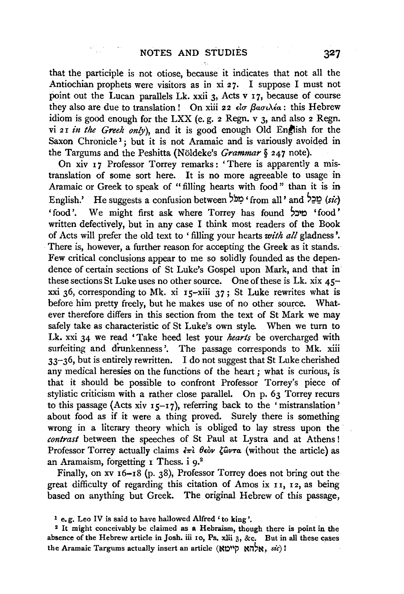that the participle is not otiose, because it indicates that not all the Antiochian prophets were visitors as in xi 27. I suppose I must not point out the Lucan parallels Lk. xxii 3, Acts v I7, because of course they also are due to translation ! On xiii 22 *είσ βασιλέα* : this Hebrew idiom is good enough for the LXX (e. g. 2 Regn. v 3, and also 2 Regn. vi 21 in the Greek only), and it is good enough Old English for the Saxon Chronicle<sup>1</sup>; but it is not Aramaic and is variously avoided in the Targums and the Peshitta (Noldeke's *Grammar§* 247 note).

On xiv 17 Professor Torrey remarks: 'There is apparently a mistranslation of some sort here. It is no more agreeable to usage in Aramaic or Greek to speak of " filling hearts with food " than it is in English.' He suggests a confusion between ' מַכֵּל from all' and 'asic) 'food'. We might first ask where Torrey has found 'cod' written defectively, but in any case I think most readers of the Book of Acts will prefer the old text to ' filling your hearts *with all* gladness'. There is, however, a further reason for accepting the Greek as it stands. Few critical conclusions appear to me so solidly founded as the dependence of certain sections of St Luke's Gospel upon Mark, and that in these sections St Luke uses no other source. One of these is Lk. xix 45 xxi 36, corresponding to Mk. xi  $15-x$ iii 37; St Luke rewrites what is before him pretty freely, but he makes use of no other source. Whatever therefore differs in this section from the text of St Mark we may safely take as characteristic of St Luke's own style. When we turn to Lk. xxi 34 we read 'Take heed lest your *hearts* be overcharged with surfeiting and drunkenness'. The passage corresponds to Mk. xiii 33-36, but is entirely rewritten. I do not suggest that St Luke cherished any medical heresies on the functions of the heart ; what is curious, is that it should be possible to confront Professor Torrey's piece of stylistic criticism with a rather close parallel. On p. 63 Torrey recurs to this passage (Acts xiv  $15-17$ ), referring back to the 'mistranslation' about food as if it were a thing proved. Surely there is something wrong in a literary theory which is obliged to lay stress upon the *contrast* between the speeches of St Paul at Lystra and at Athens ! Professor Torrey actually claims  $\epsilon \pi i$   $\theta \epsilon \partial v$   $\zeta \partial \nu \tau a$  (without the article) as an Aramaism, forgetting  $I$  Thess. i  $9.^2$ 

Finally, on xv 16-18 (p. 38), Professor Torrey does not bring out the great difficulty of regarding this citation of Amos ix 11, 12, as being based on anything but Greek. The original Hebrew of this passage,

1 e.g. Leo IV is said to have hallowed Alfred' to king'.

2 It might conceivably be claimed as a Hebraism, though there is point in the absence of the Hebrew article in Josh. iii 10, Ps. xlii 3, &c. But in all these cases the Aramaic Targums actually insert an article (אלהא קיימא) **:**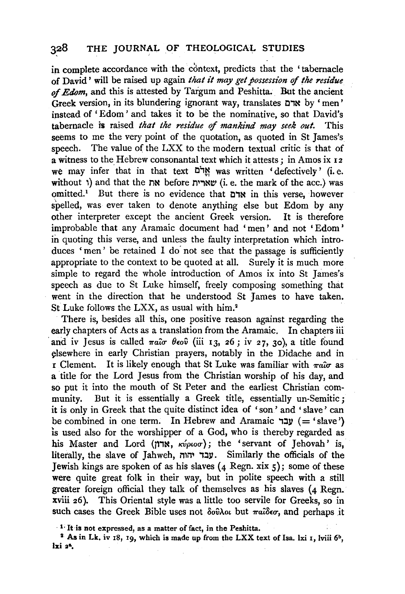## 328 THE JOURNAL OF THEOLOGICAL STUDIES

in complete accordance with the context, predicts that the 'tabernacle of David' will be raised up again *that it may get possession* of *the residue*  of *Edom*, and this is attested by Targum and Peshitta. But the ancient Greek version, in its blundering ignorant way, translates C,N by 'men' instead of 'Edom' and takes it to be the nominative, so that David's tabernacle is raised *that the residue* of *mankind may seek out.* This seems to me the very point of the quotation, as quoted in St James's speech. The value of the LXX to the modern textual critic is that of a witness to the Hebrew consonantal text which it attests; in Amos ix 12 we may infer that in that text "rest" was written 'defectively' (i.e. without ') and that the  $\overline{N}$  before שארית (i.e. the mark of the acc.) was omitted.<sup>1</sup> But there is no evidence that אדם in this verse, however spelled, was ever taken to denote anything else but Edom by any other interpreter except the ancient Greek version. It is therefore improbable that any Aramaic document had ' men' and not ' Edom' in quoting this verse, and unless the faulty interpretation which introduces 'men' be retained I do not see that the passage is sufficiently appropriate to the context to be quoted at all. Surely it is much more simple to regard the whole introduction of Amos ix into St James's speech as due to St Luke himself, freely composing something that went in the direction that he understood St James to have taken. St Luke follows the LXX, as usual with him.<sup>2</sup>

There is, besides all this, one positive reason against regarding the early chapters of Acts as a translation from the Aramaic. In chapters iii and iv Jesus is called  $\pi a\hat{i}\sigma \theta \epsilon_0\hat{v}$  (iii 13, 26; iv 27, 30), a title found elsewhere in early Christian prayers, notably in the Didache and in r Clement. It is likely enough that St Luke was familiar with  $\pi a\hat{\sigma}$  as a title for the Lord Jesus from the Christian worship of his day, and so put it into the mouth of St Peter and the earliest Christian community. But it is essentially a Greek title, essentially un-Semitic; it is only in Greek that the quite distinct idea of 'son' and 'slave' can  $be combined in one term. In Hebrew and Aramaic \to 'slave'$ ) is used also for the worshipper of a God, who is thereby regarded as his Master and Lord (אדון,  $\kappa \omega \rho \omega \sigma$ ); the 'servant of Jehovah' is, literally, the slave of Jahweh, עבר יהוה, Similarly the officials of the Jewish kings are spoken of as his slaves  $(4 \text{ Regn. xix } 5)$ ; some of these were quite great folk in their way, but in polite speech with a still greater foreign official they talk of themselves as his slaves (4 Regn. xviii 26). This Oriental style was a little too servile for Greeks, so in such cases the Greek Bible uses not  $\delta$ *ov* $\lambda$ *ot* but  $\pi$ *a* $\delta$ *eo*, and perhaps it

1· It is not expressed, as a matter of fact, in the Peshitta.

<sup>2</sup> As in Lk. iv 18, 19, which is made up from the LXX text of Isa. lxi 1, lviii  $6^b$ , lxi 3&.